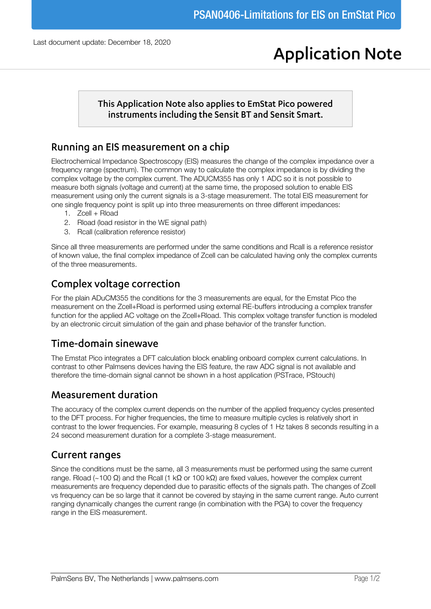# **Application Note**

#### This Application Note also applies to EmStat Pico powered instruments including the Sensit BT and Sensit Smart.

### Running an EIS measurement on a chip

Electrochemical Impedance Spectroscopy (EIS) measures the change of the complex impedance over a frequency range (spectrum). The common way to calculate the complex impedance is by dividing the complex voltage by the complex current. The ADUCM355 has only 1 ADC so it is not possible to measure both signals (voltage and current) at the same time, the proposed solution to enable EIS measurement using only the current signals is a 3-stage measurement. The total EIS measurement for one single frequency point is split up into three measurements on three different impedances:

- 1. Zcell + Rload
- 2. Rload (load resistor in the WE signal path)
- 3. Rcall (calibration reference resistor)

Since all three measurements are performed under the same conditions and Rcall is a reference resistor of known value, the final complex impedance of Zcell can be calculated having only the complex currents of the three measurements.

## Complex voltage correction

For the plain ADuCM355 the conditions for the 3 measurements are equal, for the Emstat Pico the measurement on the Zcell+Rload is performed using external RE-buffers introducing a complex transfer function for the applied AC voltage on the Zcell+Rload. This complex voltage transfer function is modeled by an electronic circuit simulation of the gain and phase behavior of the transfer function.

## Time-domain sinewave

The Emstat Pico integrates a DFT calculation block enabling onboard complex current calculations. In contrast to other Palmsens devices having the EIS feature, the raw ADC signal is not available and therefore the time-domain signal cannot be shown in a host application (PSTrace, PStouch)

## **Measurement duration**

The accuracy of the complex current depends on the number of the applied frequency cycles presented to the DFT process. For higher frequencies, the time to measure multiple cycles is relatively short in contrast to the lower frequencies. For example, measuring 8 cycles of 1 Hz takes 8 seconds resulting in a 24 second measurement duration for a complete 3-stage measurement.

## **Current ranges**

Since the conditions must be the same, all 3 measurements must be performed using the same current range. Rload (~100 Ω) and the Rcall (1 kΩ or 100 kΩ) are fixed values, however the complex current measurements are frequency depended due to parasitic effects of the signals path. The changes of Zcell vs frequency can be so large that it cannot be covered by staying in the same current range. Auto current ranging dynamically changes the current range (in combination with the PGA) to cover the frequency range in the EIS measurement.